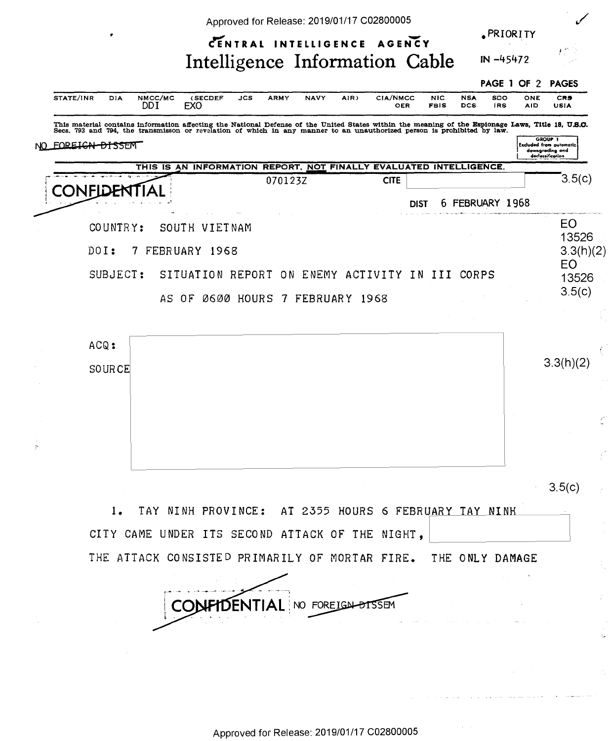|                                                                |                                                                    |                                                 |     |             | Approved for Release: 2019/01/17 C02800005 |      |                        |                           |                   |               |                 |                                                                                                                                                                                                                                                                                                                                                                                                                                                                                           |
|----------------------------------------------------------------|--------------------------------------------------------------------|-------------------------------------------------|-----|-------------|--------------------------------------------|------|------------------------|---------------------------|-------------------|---------------|-----------------|-------------------------------------------------------------------------------------------------------------------------------------------------------------------------------------------------------------------------------------------------------------------------------------------------------------------------------------------------------------------------------------------------------------------------------------------------------------------------------------------|
|                                                                |                                                                    |                                                 |     |             | CENTRAL INTELLIGENCE AGENCY                |      |                        |                           |                   |               | <b>PRIORITY</b> |                                                                                                                                                                                                                                                                                                                                                                                                                                                                                           |
|                                                                |                                                                    | Intelligence Information Cable                  |     |             |                                            |      |                        |                           |                   |               |                 |                                                                                                                                                                                                                                                                                                                                                                                                                                                                                           |
| STATE/INR<br>DIA                                               | NMCC/MC<br>DDI                                                     | (SECDEF<br><b>EXO</b>                           | JCS | <b>ARMY</b> | <b>NAVY</b>                                | AIR) | CIA/NMCC<br><b>OER</b> | <b>NIC</b><br><b>FBIS</b> | <b>NSA</b><br>DCS | SDO<br>IRS    | ONE             | <b>CRS</b>                                                                                                                                                                                                                                                                                                                                                                                                                                                                                |
|                                                                |                                                                    |                                                 |     |             |                                            |      |                        |                           |                   |               |                 |                                                                                                                                                                                                                                                                                                                                                                                                                                                                                           |
| FOREIGN-DISSEM                                                 |                                                                    |                                                 |     |             |                                            |      |                        |                           |                   |               |                 |                                                                                                                                                                                                                                                                                                                                                                                                                                                                                           |
|                                                                | THIS IS AN INFORMATION REPORT, NOT FINALLY EVALUATED INTELLIGENCE. |                                                 |     |             |                                            |      |                        |                           |                   |               |                 |                                                                                                                                                                                                                                                                                                                                                                                                                                                                                           |
| CONFID                                                         |                                                                    |                                                 |     | 070123Z     |                                            |      | <b>CITE</b>            |                           |                   |               |                 |                                                                                                                                                                                                                                                                                                                                                                                                                                                                                           |
|                                                                |                                                                    |                                                 |     |             |                                            |      |                        | <b>DIST</b>               | 6.                | FEBRUARY 1968 |                 | IN -45472<br>PAGE 1 OF 2<br><b>PAGES</b><br>AID<br><b>USIA</b><br>This material contains information affecting the National Defense of the United States within the meaning of the Espionage Laws, Title 18, U.S.C.<br>Secs. 793 and 794, the transmisson or revelation of which in any manner to a<br>GROUP 1<br><b>Excluded from putomatic</b><br>downgrading and<br>declassification<br>3.5(c)<br>EO<br>13526<br>3.3(h)(2)<br><b>EO</b><br>13526<br>3.5(c)<br>3.3(h)(2)<br>¢<br>3.5(c) |
| COUNTRY:                                                       |                                                                    | SOUTH VIETNAM                                   |     |             |                                            |      |                        |                           |                   |               |                 |                                                                                                                                                                                                                                                                                                                                                                                                                                                                                           |
| DOI:                                                           | 7 FEBRUARY 1968                                                    |                                                 |     |             |                                            |      |                        |                           |                   |               |                 |                                                                                                                                                                                                                                                                                                                                                                                                                                                                                           |
| SUBJECT:                                                       |                                                                    | SITUATION REPORT ON ENEMY ACTIVITY IN III CORPS |     |             |                                            |      |                        |                           |                   |               |                 |                                                                                                                                                                                                                                                                                                                                                                                                                                                                                           |
|                                                                |                                                                    | AS OF 0600 HOURS 7 FEBRUARY 1968                |     |             |                                            |      |                        |                           |                   |               |                 |                                                                                                                                                                                                                                                                                                                                                                                                                                                                                           |
| <b>SOURCE</b>                                                  |                                                                    |                                                 |     |             |                                            |      |                        |                           |                   |               |                 |                                                                                                                                                                                                                                                                                                                                                                                                                                                                                           |
|                                                                |                                                                    |                                                 |     |             |                                            |      |                        |                           |                   |               |                 |                                                                                                                                                                                                                                                                                                                                                                                                                                                                                           |
| 1.                                                             | TAY NINH PROVINCE: AT 2355 HOURS 6 FEBRUARY TAY NINH               |                                                 |     |             |                                            |      |                        |                           |                   |               |                 |                                                                                                                                                                                                                                                                                                                                                                                                                                                                                           |
| CITY CAME UNDER ITS SECOND ATTACK OF THE NIGHT,                |                                                                    |                                                 |     |             |                                            |      |                        |                           |                   |               |                 |                                                                                                                                                                                                                                                                                                                                                                                                                                                                                           |
| THE ATTACK CONSISTED PRIMARILY OF MORTAR FIRE. THE ONLY DAMAGE |                                                                    |                                                 |     |             |                                            |      |                        |                           |                   |               |                 |                                                                                                                                                                                                                                                                                                                                                                                                                                                                                           |
|                                                                |                                                                    |                                                 |     |             | NO FOREIGN DISSEM                          |      |                        |                           |                   |               |                 |                                                                                                                                                                                                                                                                                                                                                                                                                                                                                           |
|                                                                |                                                                    |                                                 |     |             |                                            |      |                        |                           |                   |               |                 |                                                                                                                                                                                                                                                                                                                                                                                                                                                                                           |
|                                                                |                                                                    |                                                 |     |             |                                            |      |                        |                           |                   |               |                 |                                                                                                                                                                                                                                                                                                                                                                                                                                                                                           |
|                                                                |                                                                    |                                                 |     |             |                                            |      |                        |                           |                   |               |                 |                                                                                                                                                                                                                                                                                                                                                                                                                                                                                           |
|                                                                |                                                                    |                                                 |     |             |                                            |      |                        |                           |                   |               |                 |                                                                                                                                                                                                                                                                                                                                                                                                                                                                                           |